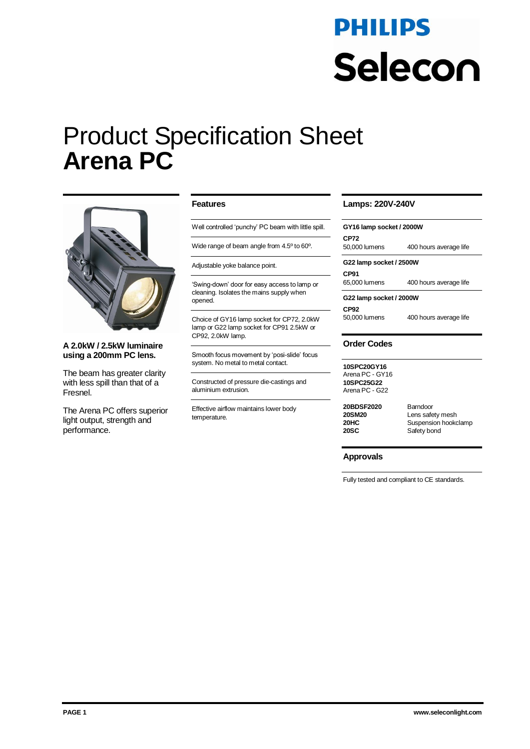# **PHILIPS** Selecon

# Product Specification Sheet **Arena PC**



**A 2.0kW / 2.5kW luminaire using a 200mm PC lens.** 

The beam has greater clarity with less spill than that of a Fresnel.

The Arena PC offers superior light output, strength and performance.

#### **Features**

Well controlled 'punchy' PC beam with little spill.

Wide range of beam angle from 4.5º to 60º.

Adjustable yoke balance point.

'Swing-down' door for easy access to lamp or cleaning. Isolates the mains supply when opened.

Choice of GY16 lamp socket for CP72, 2.0kW lamp or G22 lamp socket for CP91 2.5kW or CP92, 2.0kW lamp.

Smooth focus movement by 'posi-slide' focus system. No metal to metal contact.

Constructed of pressure die-castings and aluminium extrusion.

Effective airflow maintains lower body temperature.

#### **Lamps: 220V-240V**

| GY16 lamp socket / 2000W |                        |
|--------------------------|------------------------|
| CP72<br>50,000 lumens    | 400 hours average life |
| G22 lamp socket / 2500W  |                        |

**CP91** 65,000 lumens 400 hours average life

**G22 lamp socket / 2000W**

**CP92**<br>50,000 lumens

400 hours average life

### **Order Codes**

**10SPC20GY16** Arena PC - GY16 **10SPC25G22** Arena PC - G22

**20BDSF2020** Barndoor<br>**20SM20** Lens safe

**20SM20** Lens safety mesh<br>**20HC** Suspension hooke **20HC** Suspension hookclamp<br> **20SC** Safety bond **2**Safety bond

#### **Approvals**

Fully tested and compliant to CE standards.